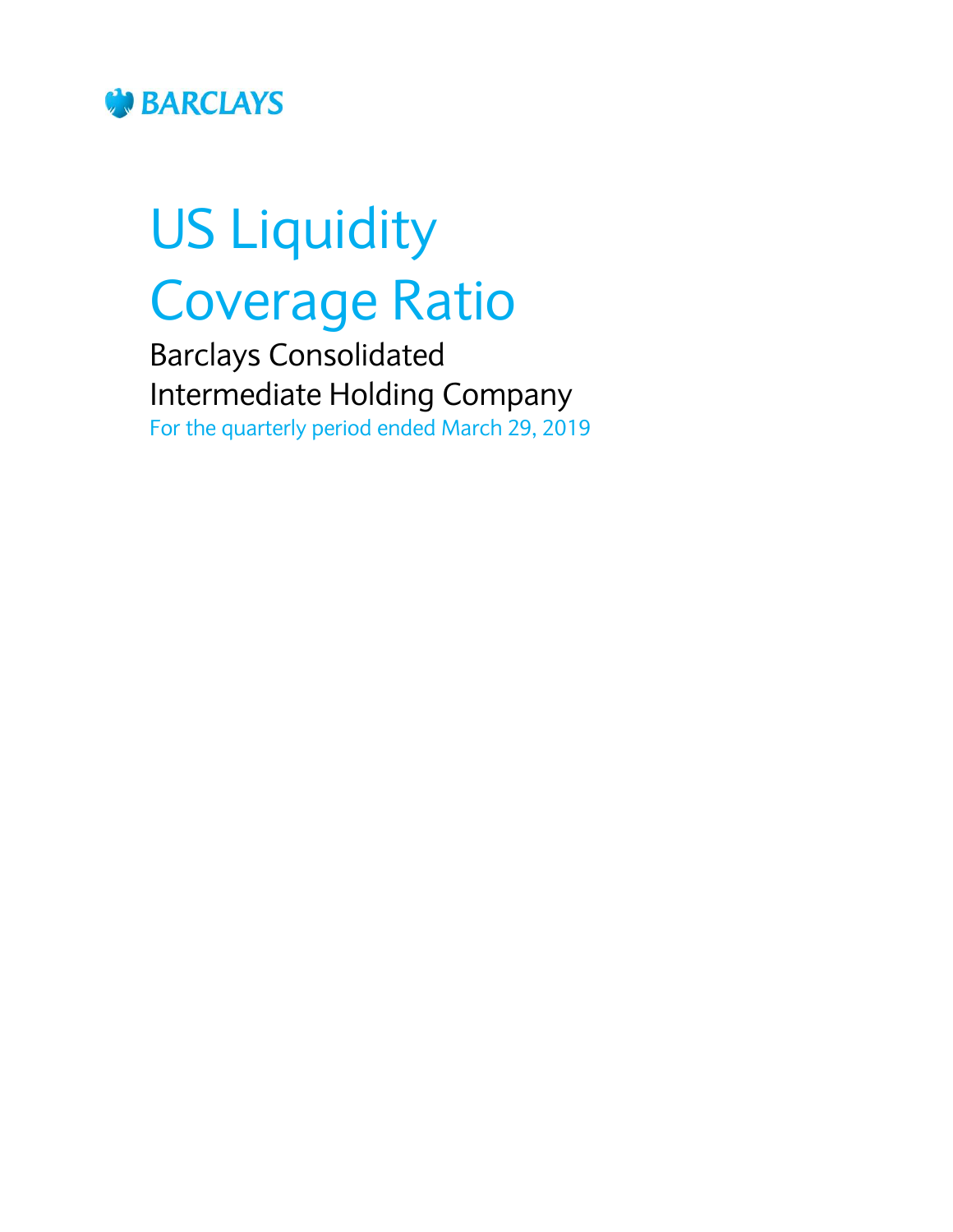

# US Liquidity Coverage Ratio

Barclays Consolidated Intermediate Holding Company For the quarterly period ended March 29, 2019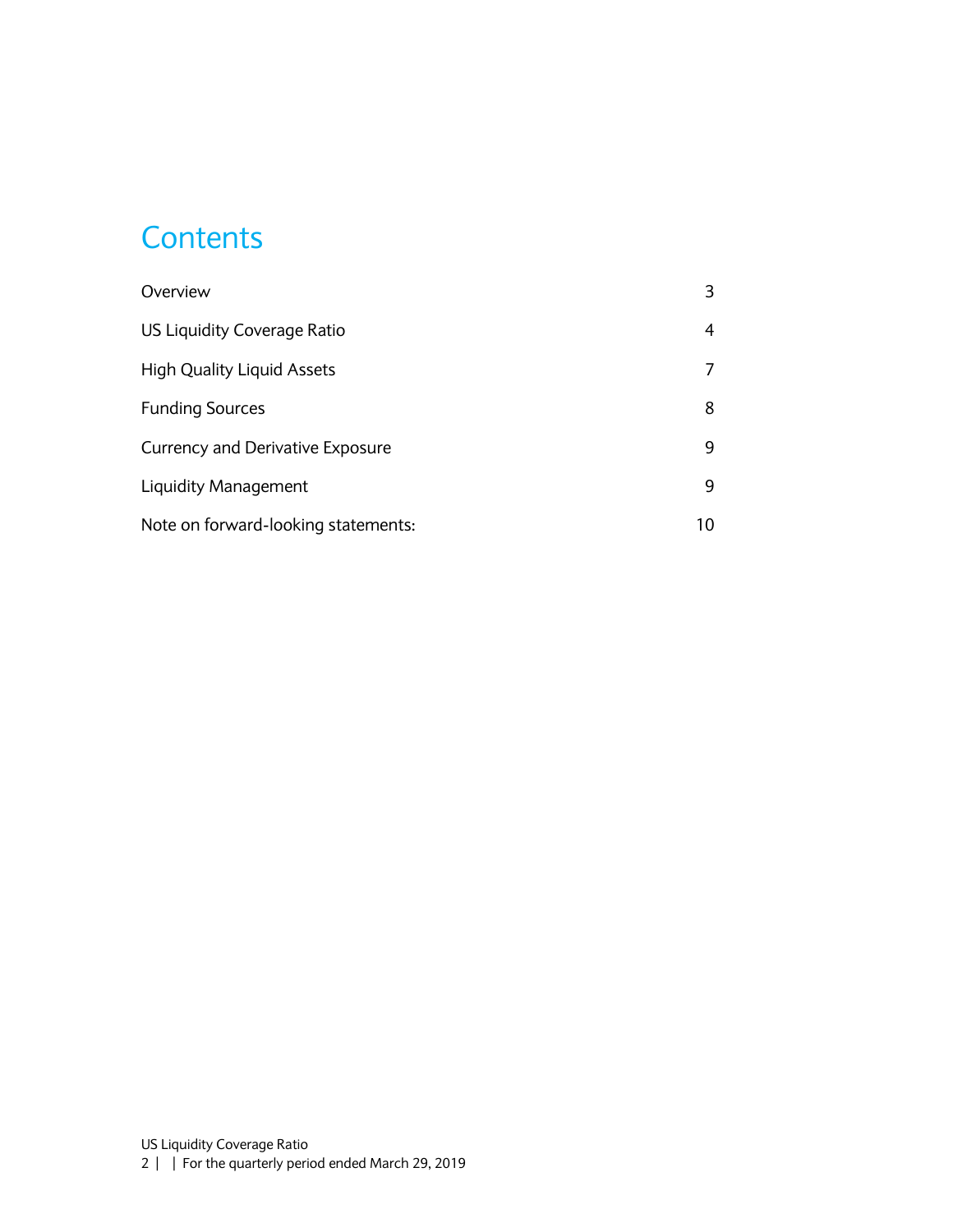### **Contents**

| Overview                                |    |
|-----------------------------------------|----|
| <b>US Liquidity Coverage Ratio</b>      | 4  |
| <b>High Quality Liquid Assets</b>       |    |
| <b>Funding Sources</b>                  | 8  |
| <b>Currency and Derivative Exposure</b> | 9  |
| Liquidity Management                    | 9  |
| Note on forward-looking statements:     | 10 |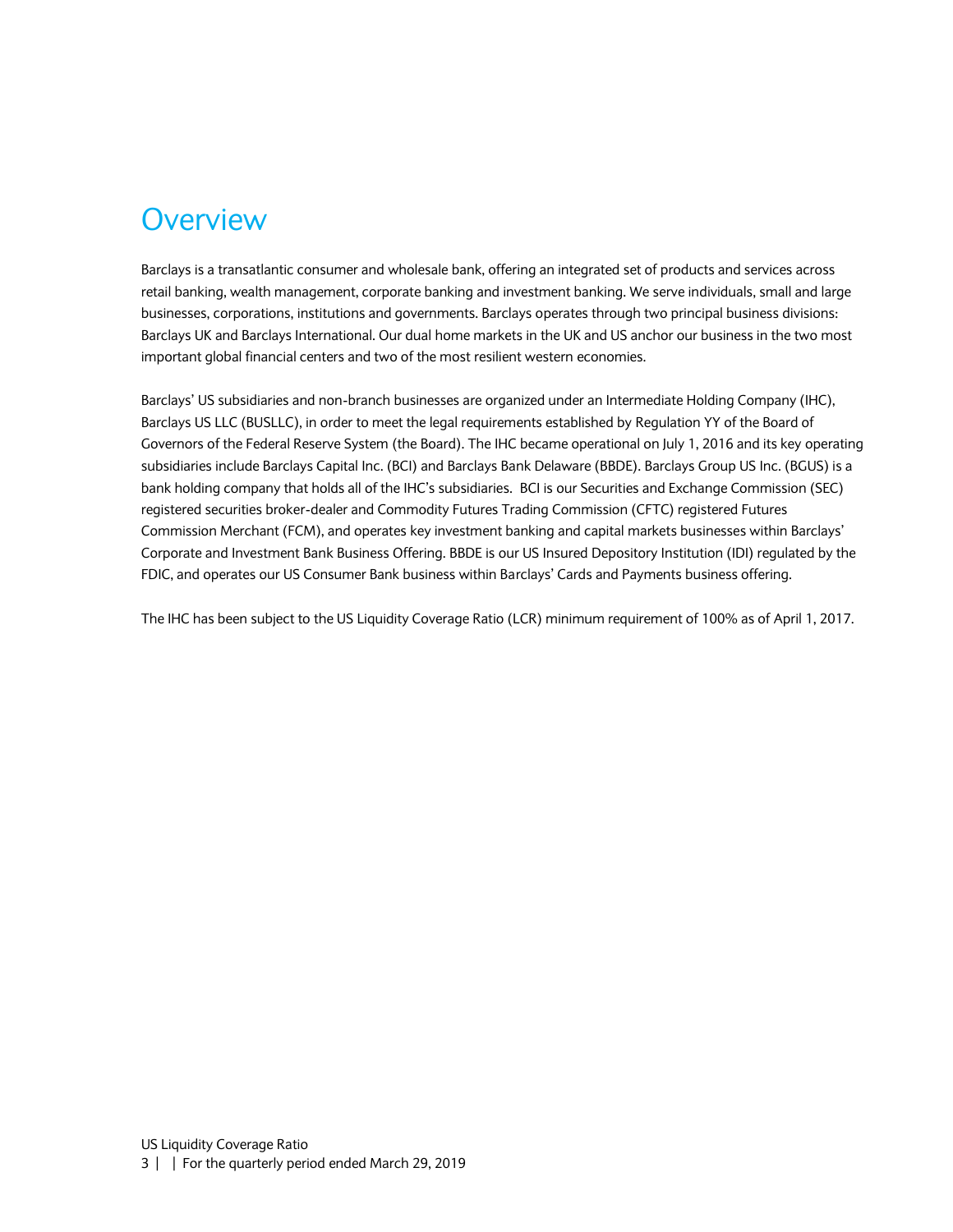#### <span id="page-2-0"></span>**Overview**

Barclays is a transatlantic consumer and wholesale bank, offering an integrated set of products and services across retail banking, wealth management, corporate banking and investment banking. We serve individuals, small and large businesses, corporations, institutions and governments. Barclays operates through two principal business divisions: Barclays UK and Barclays International. Our dual home markets in the UK and US anchor our business in the two most important global financial centers and two of the most resilient western economies.

Barclays' US subsidiaries and non-branch businesses are organized under an Intermediate Holding Company (IHC), Barclays US LLC (BUSLLC), in order to meet the legal requirements established by Regulation YY of the Board of Governors of the Federal Reserve System (the Board). The IHC became operational on July 1, 2016 and its key operating subsidiaries include Barclays Capital Inc. (BCI) and Barclays Bank Delaware (BBDE). Barclays Group US Inc. (BGUS) is a bank holding company that holds all of the IHC's subsidiaries. BCI is our Securities and Exchange Commission (SEC) registered securities broker-dealer and Commodity Futures Trading Commission (CFTC) registered Futures Commission Merchant (FCM), and operates key investment banking and capital markets businesses within Barclays' Corporate and Investment Bank Business Offering. BBDE is our US Insured Depository Institution (IDI) regulated by the FDIC, and operates our US Consumer Bank business within Barclays' Cards and Payments business offering.

The IHC has been subject to the US Liquidity Coverage Ratio (LCR) minimum requirement of 100% as of April 1, 2017.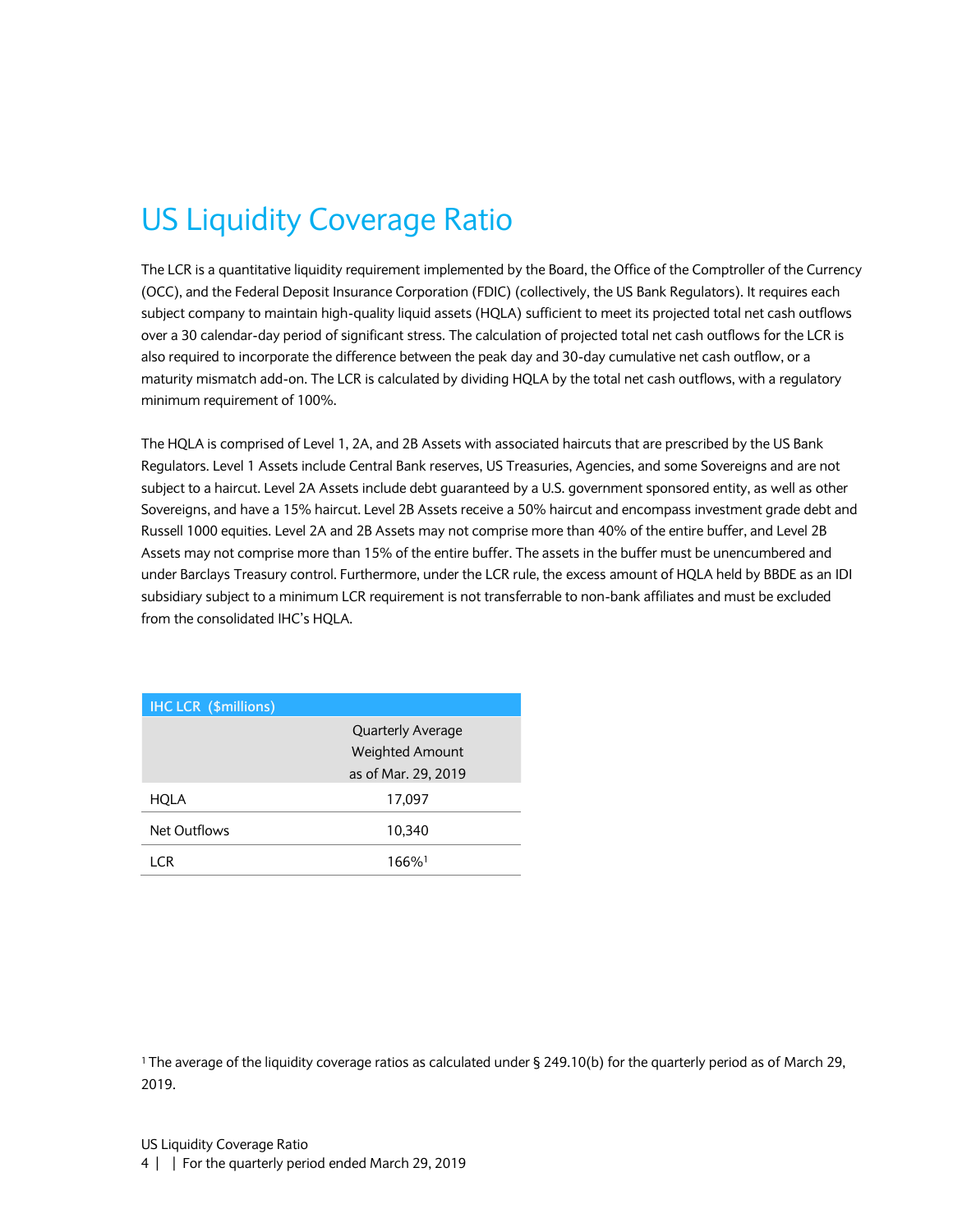# <span id="page-3-0"></span>US Liquidity Coverage Ratio

The LCR is a quantitative liquidity requirement implemented by the Board, the Office of the Comptroller of the Currency (OCC), and the Federal Deposit Insurance Corporation (FDIC) (collectively, the US Bank Regulators). It requires each subject company to maintain high-quality liquid assets (HQLA) sufficient to meet its projected total net cash outflows over a 30 calendar-day period of significant stress. The calculation of projected total net cash outflows for the LCR is also required to incorporate the difference between the peak day and 30-day cumulative net cash outflow, or a maturity mismatch add-on. The LCR is calculated by dividing HQLA by the total net cash outflows, with a regulatory minimum requirement of 100%.

The HQLA is comprised of Level 1, 2A, and 2B Assets with associated haircuts that are prescribed by the US Bank Regulators. Level 1 Assets include Central Bank reserves, US Treasuries, Agencies, and some Sovereigns and are not subject to a haircut. Level 2A Assets include debt guaranteed by a U.S. government sponsored entity, as well as other Sovereigns, and have a 15% haircut. Level 2B Assets receive a 50% haircut and encompass investment grade debt and Russell 1000 equities. Level 2A and 2B Assets may not comprise more than 40% of the entire buffer, and Level 2B Assets may not comprise more than 15% of the entire buffer. The assets in the buffer must be unencumbered and under Barclays Treasury control. Furthermore, under the LCR rule, the excess amount of HQLA held by BBDE as an IDI subsidiary subject to a minimum LCR requirement is not transferrable to non-bank affiliates and must be excluded from the consolidated IHC's HQLA.

| <b>IHC LCR (\$millions)</b> |                          |
|-----------------------------|--------------------------|
|                             | <b>Quarterly Average</b> |
|                             | <b>Weighted Amount</b>   |
|                             | as of Mar. 29, 2019      |
| <b>HQLA</b>                 | 17,097                   |
| Net Outflows                | 10.340                   |
| LCR                         | 166% <sup>1</sup>        |

<sup>1</sup>The average of the liquidity coverage ratios as calculated under § 249.10(b) for the quarterly period as of March 29, 2019.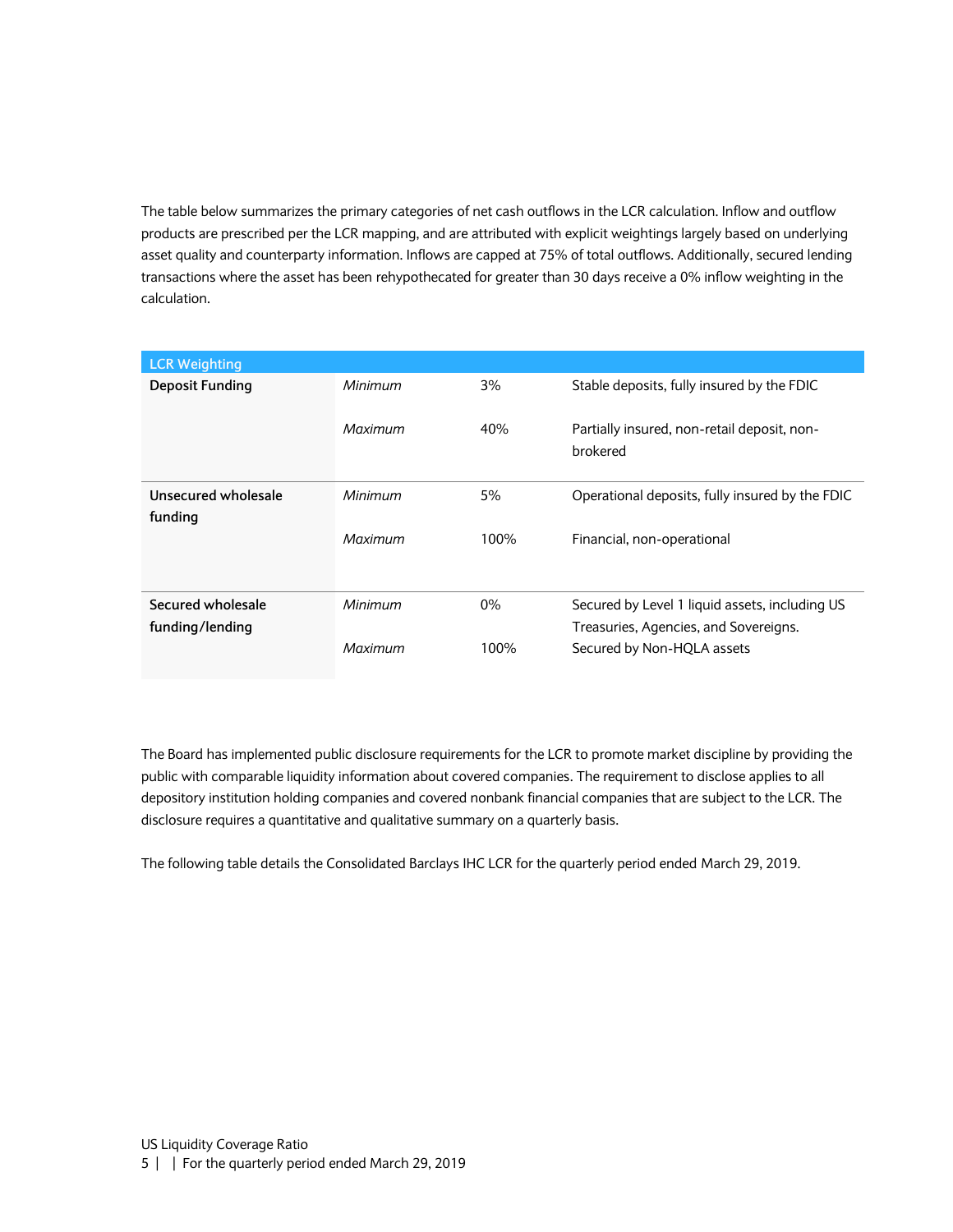The table below summarizes the primary categories of net cash outflows in the LCR calculation. Inflow and outflow products are prescribed per the LCR mapping, and are attributed with explicit weightings largely based on underlying asset quality and counterparty information. Inflows are capped at 75% of total outflows. Additionally, secured lending transactions where the asset has been rehypothecated for greater than 30 days receive a 0% inflow weighting in the calculation.

| <b>LCR Weighting</b>   |         |       |                                                         |
|------------------------|---------|-------|---------------------------------------------------------|
| <b>Deposit Funding</b> | Minimum | 3%    | Stable deposits, fully insured by the FDIC              |
|                        | Maximum | 40%   | Partially insured, non-retail deposit, non-<br>brokered |
| Unsecured wholesale    | Minimum | 5%    | Operational deposits, fully insured by the FDIC         |
| funding                |         |       |                                                         |
|                        | Maximum | 100%  | Financial, non-operational                              |
| Secured wholesale      | Minimum | $0\%$ | Secured by Level 1 liquid assets, including US          |
| funding/lending        |         |       | Treasuries, Agencies, and Sovereigns.                   |
|                        | Maximum | 100%  | Secured by Non-HQLA assets                              |

The Board has implemented public disclosure requirements for the LCR to promote market discipline by providing the public with comparable liquidity information about covered companies. The requirement to disclose applies to all depository institution holding companies and covered nonbank financial companies that are subject to the LCR. The disclosure requires a quantitative and qualitative summary on a quarterly basis.

The following table details the Consolidated Barclays IHC LCR for the quarterly period ended March 29, 2019.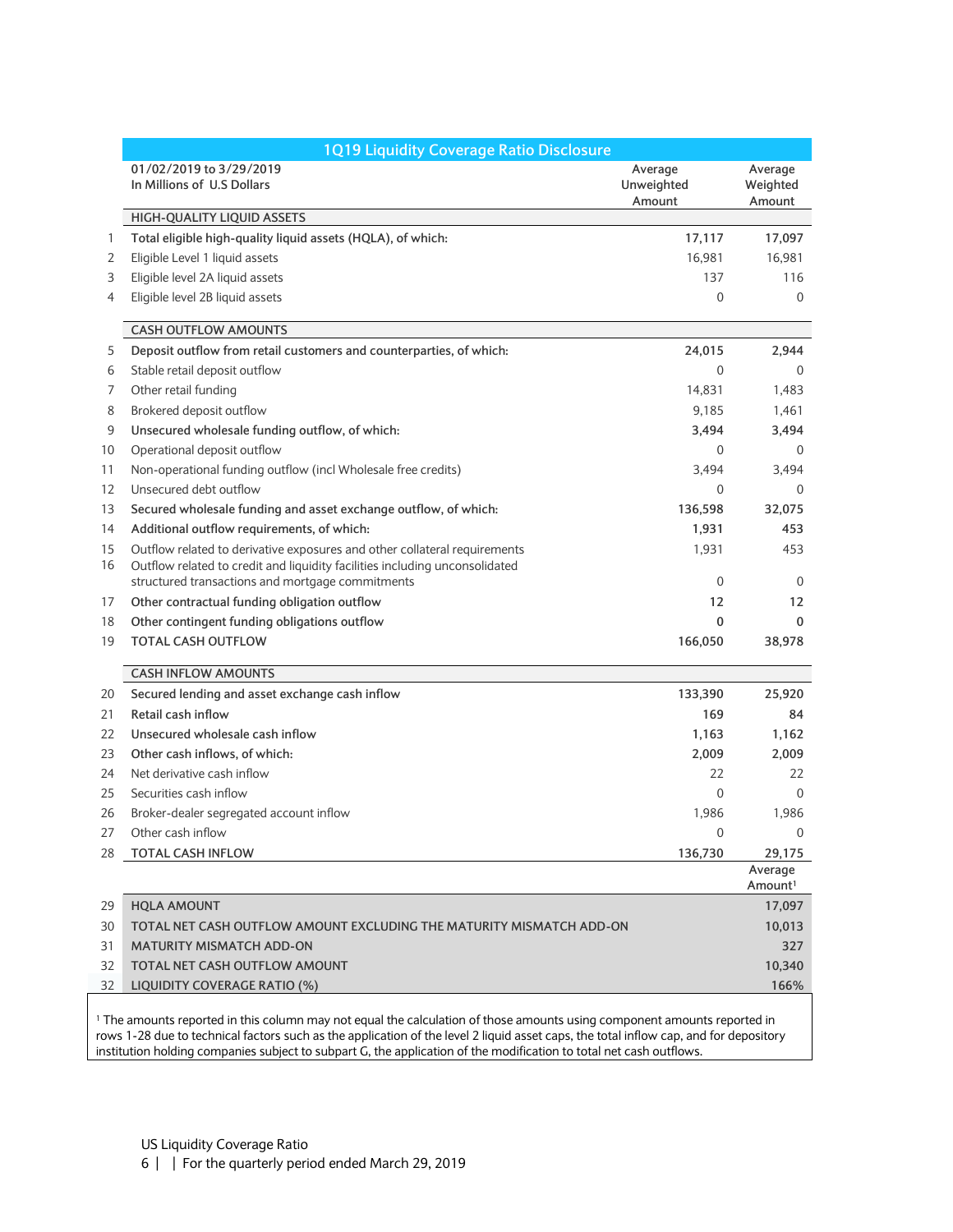|          | 1Q19 Liquidity Coverage Ratio Disclosure                                                                                                                 |                                 |                                |  |
|----------|----------------------------------------------------------------------------------------------------------------------------------------------------------|---------------------------------|--------------------------------|--|
|          | 01/02/2019 to 3/29/2019<br>In Millions of U.S Dollars                                                                                                    | Average<br>Unweighted<br>Amount | Average<br>Weighted<br>Amount  |  |
|          | HIGH-QUALITY LIQUID ASSETS                                                                                                                               |                                 |                                |  |
| 1        | Total eligible high-quality liquid assets (HQLA), of which:                                                                                              | 17,117                          | 17,097                         |  |
| 2        | Eligible Level 1 liquid assets                                                                                                                           | 16,981                          | 16,981                         |  |
| 3        | Eligible level 2A liquid assets                                                                                                                          | 137                             | 116                            |  |
| 4        | Eligible level 2B liquid assets                                                                                                                          | $\Omega$                        | $\Omega$                       |  |
|          | <b>CASH OUTFLOW AMOUNTS</b>                                                                                                                              |                                 |                                |  |
| 5        | Deposit outflow from retail customers and counterparties, of which:                                                                                      | 24,015                          | 2,944                          |  |
| 6        | Stable retail deposit outflow                                                                                                                            | $\mathbf{0}$                    | 0                              |  |
| 7        | Other retail funding                                                                                                                                     | 14,831                          | 1,483                          |  |
| 8        | Brokered deposit outflow                                                                                                                                 | 9,185                           | 1,461                          |  |
| 9        | Unsecured wholesale funding outflow, of which:                                                                                                           | 3,494                           | 3,494                          |  |
| 10       | Operational deposit outflow                                                                                                                              | 0                               | 0                              |  |
| 11       | Non-operational funding outflow (incl Wholesale free credits)                                                                                            | 3,494                           | 3,494                          |  |
| 12       | Unsecured debt outflow                                                                                                                                   | 0                               | 0                              |  |
| 13       | Secured wholesale funding and asset exchange outflow, of which:                                                                                          | 136,598                         | 32,075                         |  |
| 14       | Additional outflow requirements, of which:                                                                                                               | 1,931                           | 453                            |  |
| 15<br>16 | Outflow related to derivative exposures and other collateral requirements<br>Outflow related to credit and liquidity facilities including unconsolidated | 1,931                           | 453                            |  |
|          | structured transactions and mortgage commitments                                                                                                         | 0                               | 0                              |  |
| 17       | Other contractual funding obligation outflow                                                                                                             | 12                              | 12                             |  |
| 18       | Other contingent funding obligations outflow                                                                                                             | $\mathbf 0$                     | 0                              |  |
| 19       | <b>TOTAL CASH OUTFLOW</b>                                                                                                                                | 166,050                         | 38,978                         |  |
|          | <b>CASH INFLOW AMOUNTS</b>                                                                                                                               |                                 |                                |  |
| 20       | Secured lending and asset exchange cash inflow                                                                                                           | 133,390                         | 25,920                         |  |
| 21       | Retail cash inflow                                                                                                                                       | 169                             | 84                             |  |
| 22       | Unsecured wholesale cash inflow                                                                                                                          | 1,163                           | 1,162                          |  |
| 23       | Other cash inflows, of which:                                                                                                                            | 2,009                           | 2,009                          |  |
| 24       | Net derivative cash inflow                                                                                                                               | 22                              | 22                             |  |
| 25       | Securities cash inflow                                                                                                                                   | $\Omega$                        | 0                              |  |
| 26       | Broker-dealer segregated account inflow                                                                                                                  | 1,986                           | 1,986                          |  |
| 27       | Other cash inflow                                                                                                                                        | $\Omega$                        | $\Omega$                       |  |
|          | 28 TOTAL CASH INFLOW                                                                                                                                     | 136,730                         | 29,175                         |  |
|          |                                                                                                                                                          |                                 | Average<br>Amount <sup>1</sup> |  |
| 29       | <b>HQLA AMOUNT</b>                                                                                                                                       |                                 | 17,097                         |  |
| 30       | TOTAL NET CASH OUTFLOW AMOUNT EXCLUDING THE MATURITY MISMATCH ADD-ON                                                                                     |                                 | 10,013                         |  |
| 31       | <b>MATURITY MISMATCH ADD-ON</b>                                                                                                                          |                                 | 327                            |  |
| 32       | TOTAL NET CASH OUTFLOW AMOUNT                                                                                                                            |                                 | 10,340                         |  |
| 32       | LIQUIDITY COVERAGE RATIO (%)                                                                                                                             |                                 | 166%                           |  |

<sup>1</sup> The amounts reported in this column may not equal the calculation of those amounts using component amounts reported in rows 1-28 due to technical factors such as the application of the level 2 liquid asset caps, the total inflow cap, and for depository institution holding companies subject to subpart G, the application of the modification to total net cash outflows.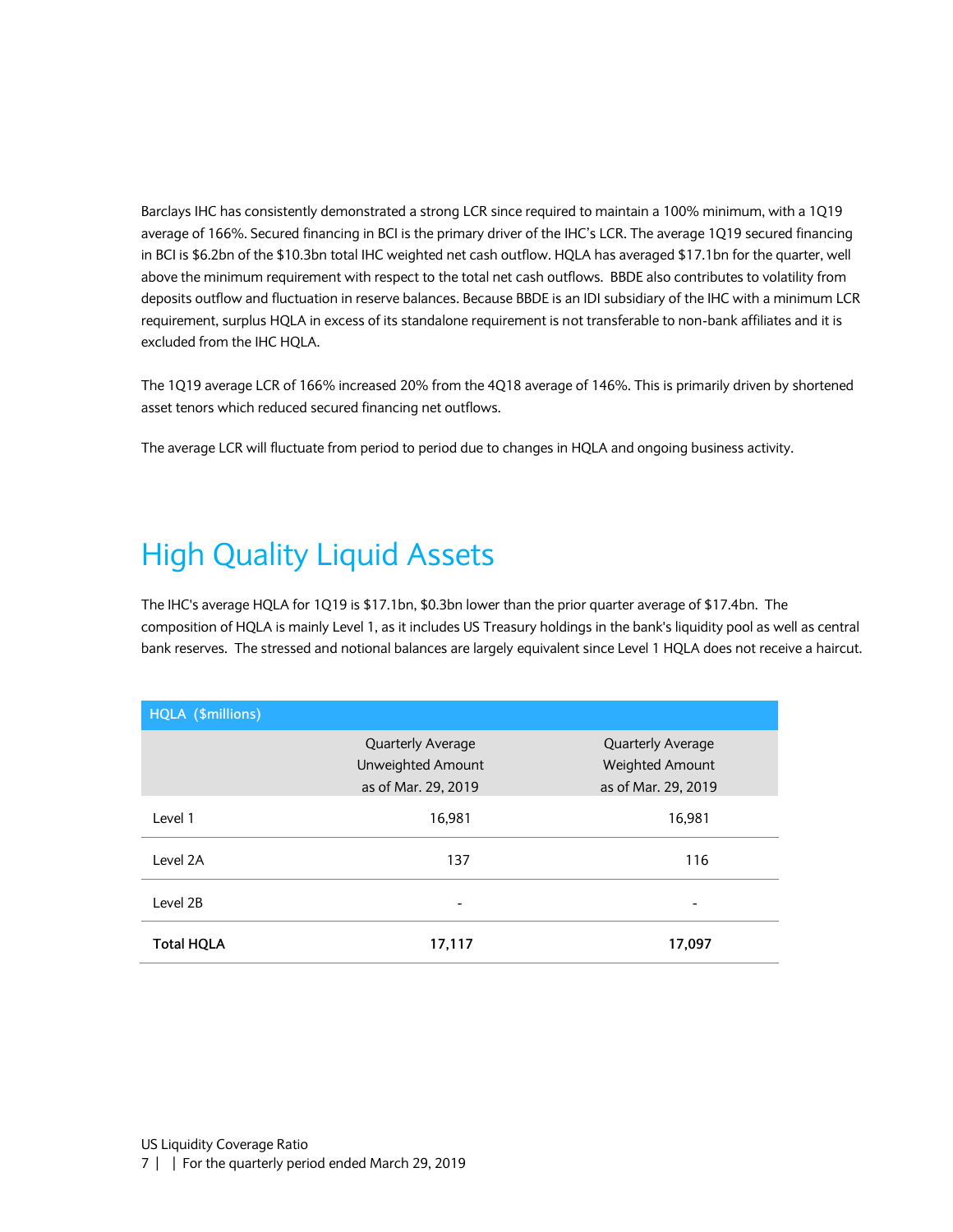Barclays IHC has consistently demonstrated a strong LCR since required to maintain a 100% minimum, with a 1Q19 average of 166%. Secured financing in BCI is the primary driver of the IHC's LCR. The average 1Q19 secured financing in BCI is \$6.2bn of the \$10.3bn total IHC weighted net cash outflow. HQLA has averaged \$17.1bn for the quarter, well above the minimum requirement with respect to the total net cash outflows. BBDE also contributes to volatility from deposits outflow and fluctuation in reserve balances. Because BBDE is an IDI subsidiary of the IHC with a minimum LCR requirement, surplus HQLA in excess of its standalone requirement is not transferable to non-bank affiliates and it is excluded from the IHC HQLA.

The 1Q19 average LCR of 166% increased 20% from the 4Q18 average of 146%. This is primarily driven by shortened asset tenors which reduced secured financing net outflows.

The average LCR will fluctuate from period to period due to changes in HQLA and ongoing business activity.

# <span id="page-6-0"></span>High Quality Liquid Assets

The IHC's average HQLA for 1Q19 is \$17.1bn, \$0.3bn lower than the prior quarter average of \$17.4bn. The composition of HQLA is mainly Level 1, as it includes US Treasury holdings in the bank's liquidity pool as well as central bank reserves. The stressed and notional balances are largely equivalent since Level 1 HQLA does not receive a haircut.

<span id="page-6-1"></span>

| HQLA (\$millions) |                          |                          |  |
|-------------------|--------------------------|--------------------------|--|
|                   | <b>Quarterly Average</b> | <b>Quarterly Average</b> |  |
|                   | Unweighted Amount        | Weighted Amount          |  |
|                   | as of Mar. 29, 2019      | as of Mar. 29, 2019      |  |
| Level 1           | 16,981                   | 16,981                   |  |
| Level 2A          | 137                      | 116                      |  |
| Level 2B          | ۰                        | -                        |  |
| <b>Total HQLA</b> | 17,117                   | 17,097                   |  |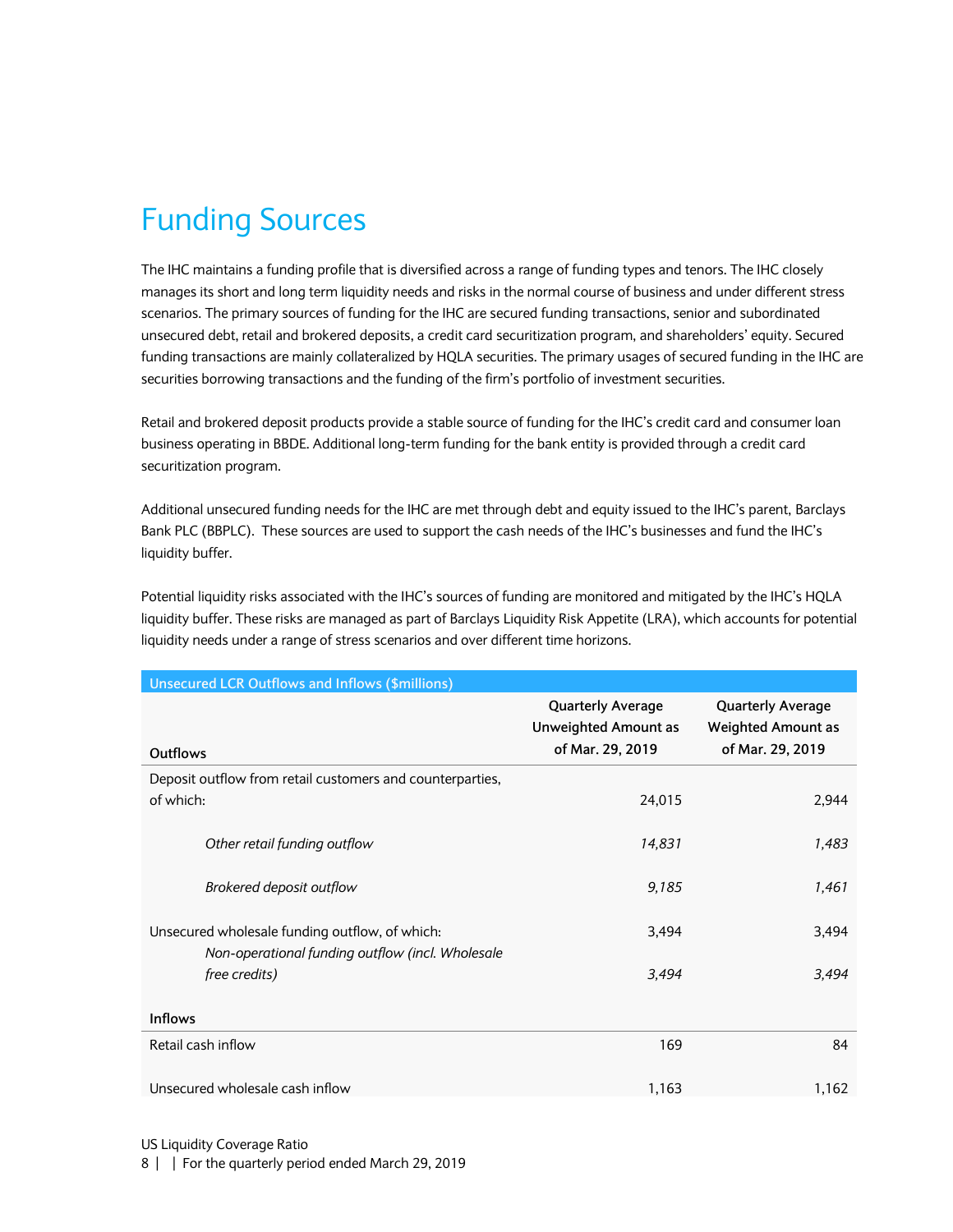# Funding Sources

The IHC maintains a funding profile that is diversified across a range of funding types and tenors. The IHC closely manages its short and long term liquidity needs and risks in the normal course of business and under different stress scenarios. The primary sources of funding for the IHC are secured funding transactions, senior and subordinated unsecured debt, retail and brokered deposits, a credit card securitization program, and shareholders' equity. Secured funding transactions are mainly collateralized by HQLA securities. The primary usages of secured funding in the IHC are securities borrowing transactions and the funding of the firm's portfolio of investment securities.

Retail and brokered deposit products provide a stable source of funding for the IHC's credit card and consumer loan business operating in BBDE. Additional long-term funding for the bank entity is provided through a credit card securitization program.

Additional unsecured funding needs for the IHC are met through debt and equity issued to the IHC's parent, Barclays Bank PLC (BBPLC). These sources are used to support the cash needs of the IHC's businesses and fund the IHC's liquidity buffer.

Potential liquidity risks associated with the IHC's sources of funding are monitored and mitigated by the IHC's HQLA liquidity buffer. These risks are managed as part of Barclays Liquidity Risk Appetite (LRA), which accounts for potential liquidity needs under a range of stress scenarios and over different time horizons.

| <b>Unsecured LCR Outflows and Inflows (\$millions)</b>                                             |                                                                             |                                                                           |
|----------------------------------------------------------------------------------------------------|-----------------------------------------------------------------------------|---------------------------------------------------------------------------|
| Outflows                                                                                           | <b>Quarterly Average</b><br><b>Unweighted Amount as</b><br>of Mar. 29, 2019 | <b>Quarterly Average</b><br><b>Weighted Amount as</b><br>of Mar. 29, 2019 |
| Deposit outflow from retail customers and counterparties,                                          |                                                                             |                                                                           |
| of which:                                                                                          | 24,015                                                                      | 2,944                                                                     |
| Other retail funding outflow                                                                       | 14,831                                                                      | 1,483                                                                     |
| Brokered deposit outflow                                                                           | 9,185                                                                       | 1,461                                                                     |
| Unsecured wholesale funding outflow, of which:<br>Non-operational funding outflow (incl. Wholesale | 3,494                                                                       | 3,494                                                                     |
| free credits)                                                                                      | 3,494                                                                       | 3,494                                                                     |
| <b>Inflows</b>                                                                                     |                                                                             |                                                                           |
| Retail cash inflow                                                                                 | 169                                                                         | 84                                                                        |
| Unsecured wholesale cash inflow                                                                    | 1,163                                                                       | 1,162                                                                     |

US Liquidity Coverage Ratio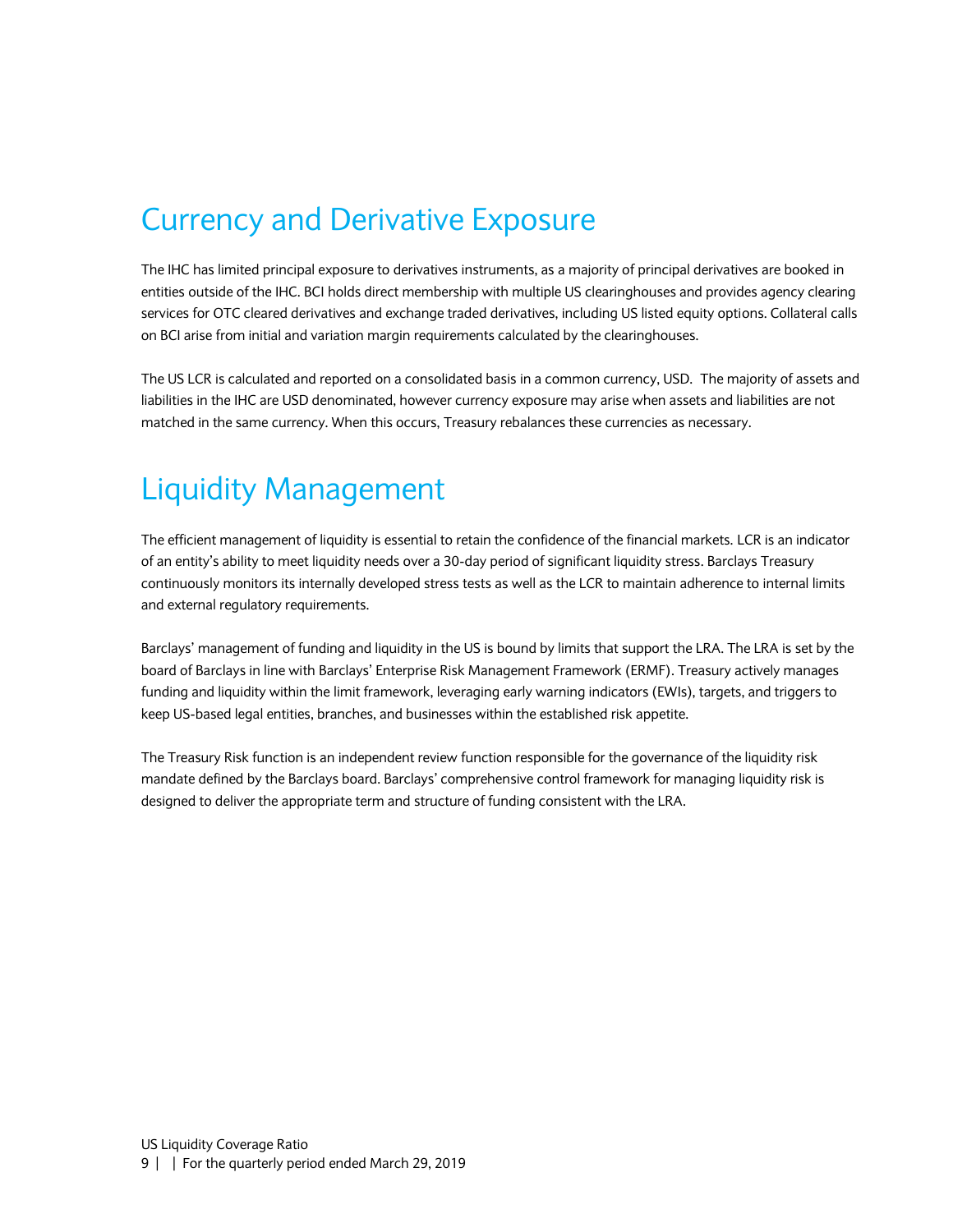### <span id="page-8-0"></span>Currency and Derivative Exposure

The IHC has limited principal exposure to derivatives instruments, as a majority of principal derivatives are booked in entities outside of the IHC. BCI holds direct membership with multiple US clearinghouses and provides agency clearing services for OTC cleared derivatives and exchange traded derivatives, including US listed equity options. Collateral calls on BCI arise from initial and variation margin requirements calculated by the clearinghouses.

The US LCR is calculated and reported on a consolidated basis in a common currency, USD. The majority of assets and liabilities in the IHC are USD denominated, however currency exposure may arise when assets and liabilities are not matched in the same currency. When this occurs, Treasury rebalances these currencies as necessary.

# <span id="page-8-1"></span>Liquidity Management

The efficient management of liquidity is essential to retain the confidence of the financial markets. LCR is an indicator of an entity's ability to meet liquidity needs over a 30-day period of significant liquidity stress. Barclays Treasury continuously monitors its internally developed stress tests as well as the LCR to maintain adherence to internal limits and external regulatory requirements.

Barclays' management of funding and liquidity in the US is bound by limits that support the LRA. The LRA is set by the board of Barclays in line with Barclays' Enterprise Risk Management Framework (ERMF). Treasury actively manages funding and liquidity within the limit framework, leveraging early warning indicators (EWIs), targets, and triggers to keep US-based legal entities, branches, and businesses within the established risk appetite.

<span id="page-8-2"></span>The Treasury Risk function is an independent review function responsible for the governance of the liquidity risk mandate defined by the Barclays board. Barclays' comprehensive control framework for managing liquidity risk is designed to deliver the appropriate term and structure of funding consistent with the LRA.